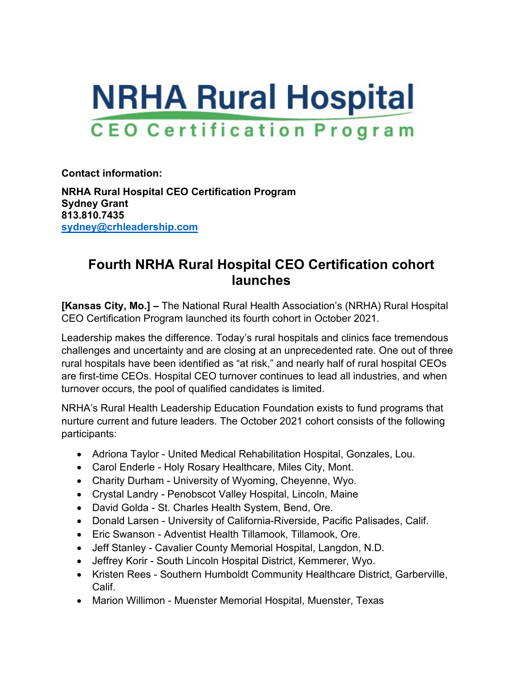

**Contact information:**

**NRHA Rural Hospital CEO Certification Program Sydney Grant 813.810.7435 [sydney@crhleadership.com](mailto:sydney@crhleadership.com)**

## **Fourth NRHA Rural Hospital CEO Certification cohort launches**

**[Kansas City, Mo.] –** The National Rural Health Association's (NRHA) Rural Hospital CEO Certification Program launched its fourth cohort in October 2021.

Leadership makes the difference. Today's rural hospitals and clinics face tremendous challenges and uncertainty and are closing at an unprecedented rate. One out of three rural hospitals have been identified as "at risk," and nearly half of rural hospital CEOs are first-time CEOs. Hospital CEO turnover continues to lead all industries, and when turnover occurs, the pool of qualified candidates is limited.

NRHA's Rural Health Leadership Education Foundation exists to fund programs that nurture current and future leaders. The October 2021 cohort consists of the following participants:

- Adriona Taylor United Medical Rehabilitation Hospital, Gonzales, Lou.
- Carol Enderle Holy Rosary Healthcare, Miles City, Mont.
- Charity Durham University of Wyoming, Cheyenne, Wyo.
- Crystal Landry Penobscot Valley Hospital, Lincoln, Maine
- David Golda St. Charles Health System, Bend, Ore.
- Donald Larsen University of California-Riverside, Pacific Palisades, Calif.
- Eric Swanson Adventist Health Tillamook, Tillamook, Ore.
- Jeff Stanley Cavalier County Memorial Hospital, Langdon, N.D.
- Jeffrey Korir South Lincoln Hospital District, Kemmerer, Wyo.
- Kristen Rees Southern Humboldt Community Healthcare District, Garberville, Calif.
- Marion Willimon Muenster Memorial Hospital, Muenster, Texas